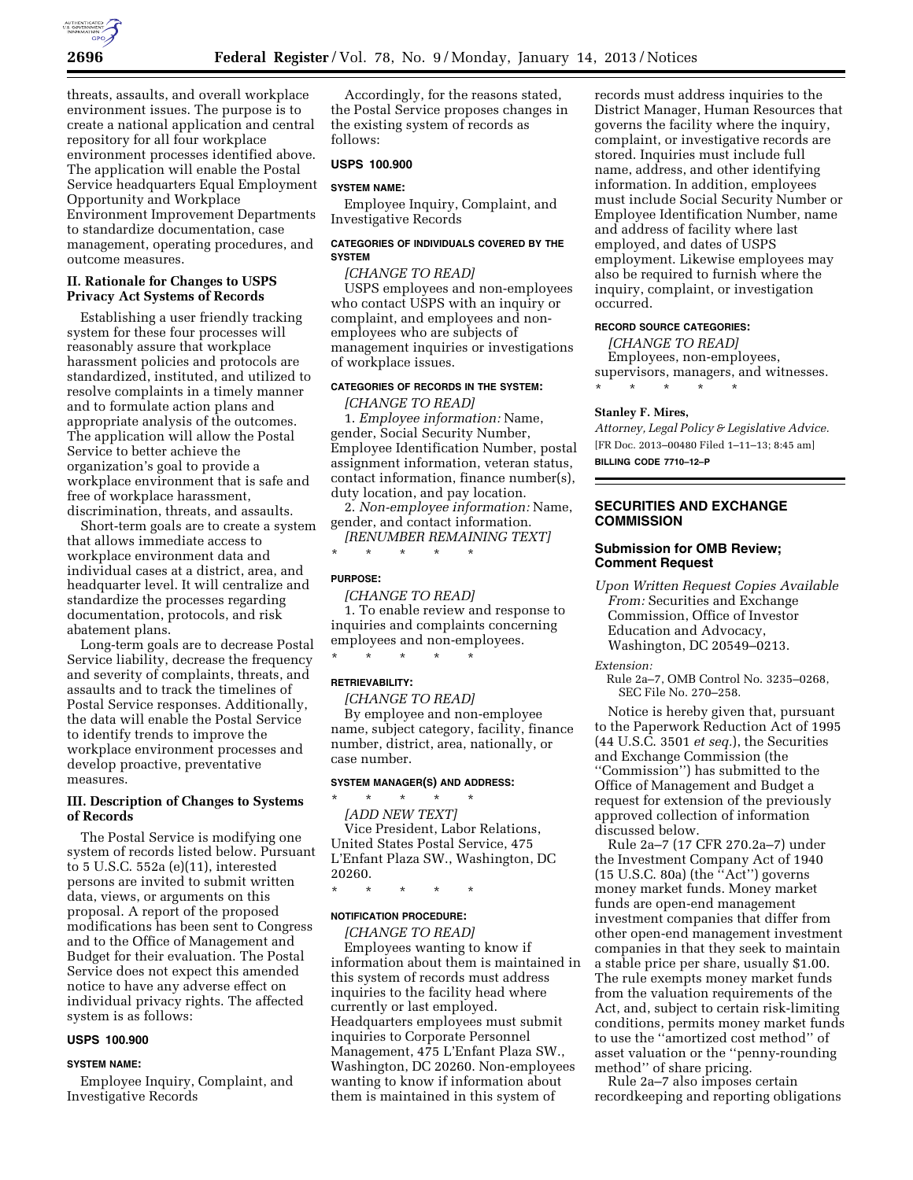

threats, assaults, and overall workplace environment issues. The purpose is to create a national application and central repository for all four workplace environment processes identified above. The application will enable the Postal Service headquarters Equal Employment Opportunity and Workplace Environment Improvement Departments to standardize documentation, case management, operating procedures, and outcome measures.

### **II. Rationale for Changes to USPS Privacy Act Systems of Records**

Establishing a user friendly tracking system for these four processes will reasonably assure that workplace harassment policies and protocols are standardized, instituted, and utilized to resolve complaints in a timely manner and to formulate action plans and appropriate analysis of the outcomes. The application will allow the Postal Service to better achieve the organization's goal to provide a workplace environment that is safe and free of workplace harassment, discrimination, threats, and assaults.

Short-term goals are to create a system that allows immediate access to workplace environment data and individual cases at a district, area, and headquarter level. It will centralize and standardize the processes regarding documentation, protocols, and risk abatement plans.

Long-term goals are to decrease Postal Service liability, decrease the frequency and severity of complaints, threats, and assaults and to track the timelines of Postal Service responses. Additionally, the data will enable the Postal Service to identify trends to improve the workplace environment processes and develop proactive, preventative measures.

# **III. Description of Changes to Systems of Records**

The Postal Service is modifying one system of records listed below. Pursuant to 5 U.S.C. 552a (e)(11), interested persons are invited to submit written data, views, or arguments on this proposal. A report of the proposed modifications has been sent to Congress and to the Office of Management and Budget for their evaluation. The Postal Service does not expect this amended notice to have any adverse effect on individual privacy rights. The affected system is as follows:

## **USPS 100.900**

#### **SYSTEM NAME:**

Employee Inquiry, Complaint, and Investigative Records

Accordingly, for the reasons stated, the Postal Service proposes changes in the existing system of records as follows:

## **USPS 100.900**

# **SYSTEM NAME:**

Employee Inquiry, Complaint, and Investigative Records

## **CATEGORIES OF INDIVIDUALS COVERED BY THE SYSTEM**

*[CHANGE TO READ]*  USPS employees and non-employees who contact USPS with an inquiry or complaint, and employees and nonemployees who are subjects of management inquiries or investigations

#### **CATEGORIES OF RECORDS IN THE SYSTEM:**

*[CHANGE TO READ]* 

of workplace issues.

1. *Employee information:* Name, gender, Social Security Number, Employee Identification Number, postal assignment information, veteran status, contact information, finance number(s), duty location, and pay location.

2. *Non-employee information:* Name, gender, and contact information. *[RENUMBER REMAINING TEXT]* 

\* \* \* \* \*

### **PURPOSE:**

*[CHANGE TO READ]*  1. To enable review and response to inquiries and complaints concerning employees and non-employees. \* \* \* \* \*

# **RETRIEVABILITY:**

*[CHANGE TO READ]* 

By employee and non-employee name, subject category, facility, finance number, district, area, nationally, or case number.

## **SYSTEM MANAGER(S) AND ADDRESS:**

\* \* \* \* \* *[ADD NEW TEXT]*  Vice President, Labor Relations, United States Postal Service, 475 L'Enfant Plaza SW., Washington, DC 20260.

\* \* \* \* \*

#### **NOTIFICATION PROCEDURE:**

*[CHANGE TO READ]*  Employees wanting to know if information about them is maintained in this system of records must address inquiries to the facility head where currently or last employed. Headquarters employees must submit inquiries to Corporate Personnel Management, 475 L'Enfant Plaza SW., Washington, DC 20260. Non-employees wanting to know if information about them is maintained in this system of

records must address inquiries to the District Manager, Human Resources that governs the facility where the inquiry, complaint, or investigative records are stored. Inquiries must include full name, address, and other identifying information. In addition, employees must include Social Security Number or Employee Identification Number, name and address of facility where last employed, and dates of USPS employment. Likewise employees may also be required to furnish where the inquiry, complaint, or investigation occurred.

### **RECORD SOURCE CATEGORIES:**

*[CHANGE TO READ]*  Employees, non-employees, supervisors, managers, and witnesses. \* \* \* \* \*

### **Stanley F. Mires,**

*Attorney, Legal Policy & Legislative Advice.*  [FR Doc. 2013–00480 Filed 1–11–13; 8:45 am] **BILLING CODE 7710–12–P** 

# **SECURITIES AND EXCHANGE COMMISSION**

## **Submission for OMB Review; Comment Request**

*Upon Written Request Copies Available From:* Securities and Exchange Commission, Office of Investor Education and Advocacy, Washington, DC 20549–0213.

*Extension:* 

Rule 2a–7, OMB Control No. 3235–0268, SEC File No. 270–258.

Notice is hereby given that, pursuant to the Paperwork Reduction Act of 1995 (44 U.S.C. 3501 *et seq.*), the Securities and Exchange Commission (the ''Commission'') has submitted to the Office of Management and Budget a request for extension of the previously approved collection of information discussed below.

Rule 2a–7 (17 CFR 270.2a–7) under the Investment Company Act of 1940 (15 U.S.C. 80a) (the ''Act'') governs money market funds. Money market funds are open-end management investment companies that differ from other open-end management investment companies in that they seek to maintain a stable price per share, usually \$1.00. The rule exempts money market funds from the valuation requirements of the Act, and, subject to certain risk-limiting conditions, permits money market funds to use the ''amortized cost method'' of asset valuation or the ''penny-rounding method'' of share pricing.

Rule 2a–7 also imposes certain recordkeeping and reporting obligations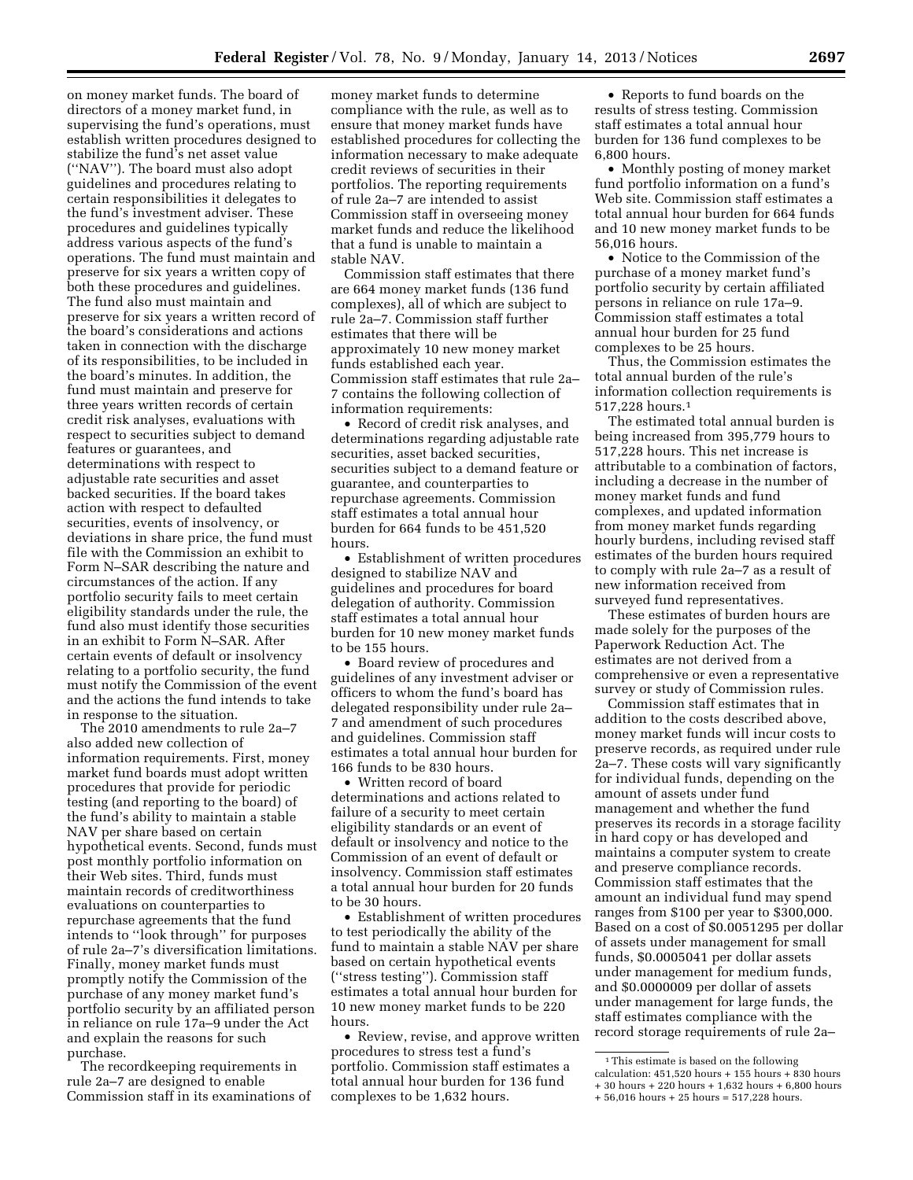on money market funds. The board of directors of a money market fund, in supervising the fund's operations, must establish written procedures designed to stabilize the fund's net asset value (''NAV''). The board must also adopt guidelines and procedures relating to certain responsibilities it delegates to the fund's investment adviser. These procedures and guidelines typically address various aspects of the fund's operations. The fund must maintain and preserve for six years a written copy of both these procedures and guidelines. The fund also must maintain and preserve for six years a written record of the board's considerations and actions taken in connection with the discharge of its responsibilities, to be included in the board's minutes. In addition, the fund must maintain and preserve for three years written records of certain credit risk analyses, evaluations with respect to securities subject to demand features or guarantees, and determinations with respect to adjustable rate securities and asset backed securities. If the board takes action with respect to defaulted securities, events of insolvency, or deviations in share price, the fund must file with the Commission an exhibit to Form N–SAR describing the nature and circumstances of the action. If any portfolio security fails to meet certain eligibility standards under the rule, the fund also must identify those securities in an exhibit to Form N–SAR. After certain events of default or insolvency relating to a portfolio security, the fund must notify the Commission of the event and the actions the fund intends to take in response to the situation.

The 2010 amendments to rule 2a–7 also added new collection of information requirements. First, money market fund boards must adopt written procedures that provide for periodic testing (and reporting to the board) of the fund's ability to maintain a stable NAV per share based on certain hypothetical events. Second, funds must post monthly portfolio information on their Web sites. Third, funds must maintain records of creditworthiness evaluations on counterparties to repurchase agreements that the fund intends to ''look through'' for purposes of rule 2a–7's diversification limitations. Finally, money market funds must promptly notify the Commission of the purchase of any money market fund's portfolio security by an affiliated person in reliance on rule 17a–9 under the Act and explain the reasons for such purchase.

The recordkeeping requirements in rule 2a–7 are designed to enable Commission staff in its examinations of

money market funds to determine compliance with the rule, as well as to ensure that money market funds have established procedures for collecting the information necessary to make adequate credit reviews of securities in their portfolios. The reporting requirements of rule 2a–7 are intended to assist Commission staff in overseeing money market funds and reduce the likelihood that a fund is unable to maintain a stable NAV.

Commission staff estimates that there are 664 money market funds (136 fund complexes), all of which are subject to rule 2a–7. Commission staff further estimates that there will be approximately 10 new money market funds established each year. Commission staff estimates that rule 2a– 7 contains the following collection of information requirements:

• Record of credit risk analyses, and determinations regarding adjustable rate securities, asset backed securities, securities subject to a demand feature or guarantee, and counterparties to repurchase agreements. Commission staff estimates a total annual hour burden for 664 funds to be 451,520 hours.

• Establishment of written procedures designed to stabilize NAV and guidelines and procedures for board delegation of authority. Commission staff estimates a total annual hour burden for 10 new money market funds to be 155 hours.

• Board review of procedures and guidelines of any investment adviser or officers to whom the fund's board has delegated responsibility under rule 2a– 7 and amendment of such procedures and guidelines. Commission staff estimates a total annual hour burden for 166 funds to be 830 hours.

• Written record of board determinations and actions related to failure of a security to meet certain eligibility standards or an event of default or insolvency and notice to the Commission of an event of default or insolvency. Commission staff estimates a total annual hour burden for 20 funds to be 30 hours.

• Establishment of written procedures to test periodically the ability of the fund to maintain a stable NAV per share based on certain hypothetical events (''stress testing''). Commission staff estimates a total annual hour burden for 10 new money market funds to be 220 hours.

• Review, revise, and approve written procedures to stress test a fund's portfolio. Commission staff estimates a total annual hour burden for 136 fund complexes to be 1,632 hours.

• Reports to fund boards on the results of stress testing. Commission staff estimates a total annual hour burden for 136 fund complexes to be 6,800 hours.

• Monthly posting of money market fund portfolio information on a fund's Web site. Commission staff estimates a total annual hour burden for 664 funds and 10 new money market funds to be 56,016 hours.

• Notice to the Commission of the purchase of a money market fund's portfolio security by certain affiliated persons in reliance on rule 17a–9. Commission staff estimates a total annual hour burden for 25 fund complexes to be 25 hours.

Thus, the Commission estimates the total annual burden of the rule's information collection requirements is 517,228 hours.1

The estimated total annual burden is being increased from 395,779 hours to 517,228 hours. This net increase is attributable to a combination of factors, including a decrease in the number of money market funds and fund complexes, and updated information from money market funds regarding hourly burdens, including revised staff estimates of the burden hours required to comply with rule 2a–7 as a result of new information received from surveyed fund representatives.

These estimates of burden hours are made solely for the purposes of the Paperwork Reduction Act. The estimates are not derived from a comprehensive or even a representative survey or study of Commission rules.

Commission staff estimates that in addition to the costs described above, money market funds will incur costs to preserve records, as required under rule 2a–7. These costs will vary significantly for individual funds, depending on the amount of assets under fund management and whether the fund preserves its records in a storage facility in hard copy or has developed and maintains a computer system to create and preserve compliance records. Commission staff estimates that the amount an individual fund may spend ranges from \$100 per year to \$300,000. Based on a cost of \$0.0051295 per dollar of assets under management for small funds, \$0.0005041 per dollar assets under management for medium funds, and \$0.0000009 per dollar of assets under management for large funds, the staff estimates compliance with the record storage requirements of rule 2a–

<sup>1</sup>This estimate is based on the following calculation:  $451,520$  hours +  $155$  hours +  $830$  hours + 30 hours + 220 hours + 1,632 hours + 6,800 hours + 56,016 hours + 25 hours = 517,228 hours.